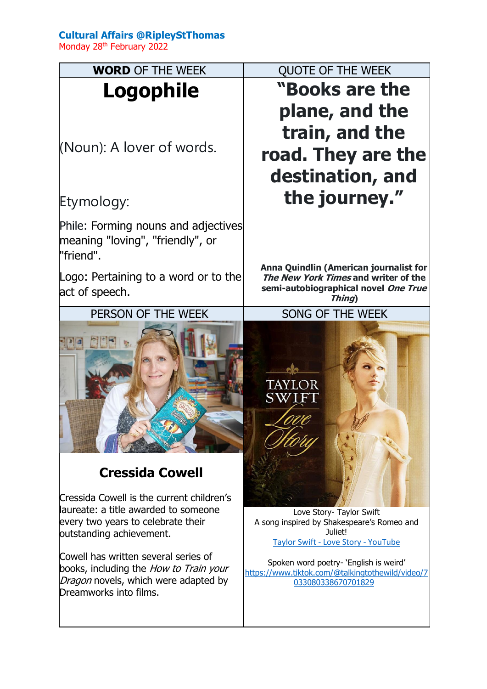## **Cultural Affairs @RipleyStThomas**

Monday 28<sup>th</sup> February 2022

| <b>WORD OF THE WEEK</b>                                                                                                                                 | <b>QUOTE OF THE WEEK</b>                                                                                                        |
|---------------------------------------------------------------------------------------------------------------------------------------------------------|---------------------------------------------------------------------------------------------------------------------------------|
| Logophile                                                                                                                                               | "Books are the                                                                                                                  |
| (Noun): A lover of words.                                                                                                                               | plane, and the<br>train, and the<br>road. They are the<br>destination, and                                                      |
| Etymology:                                                                                                                                              | the journey."                                                                                                                   |
| Phile: Forming nouns and adjectives<br>meaning "loving", "friendly", or<br>"friend".                                                                    | Anna Quindlin (American journalist for                                                                                          |
| Logo: Pertaining to a word or to the<br>act of speech.                                                                                                  | The New York Times and writer of the<br>semi-autobiographical novel One True<br>Thing)                                          |
| PERSON OF THE WEEK                                                                                                                                      | SONG OF THE WEEK                                                                                                                |
| <b>Cressida Cowell</b>                                                                                                                                  | SW I                                                                                                                            |
| Cressida Cowell is the current children's<br>llaureate: a title awarded to someone<br>every two years to celebrate their<br>outstanding achievement.    | Love Story- Taylor Swift<br>A song inspired by Shakespeare's Romeo and<br>Juliet!<br><b>Taylor Swift - Love Story - YouTube</b> |
| Cowell has written several series of<br>books, including the <i>How to Train your</i><br>Dragon novels, which were adapted by<br>Dreamworks into films. | Spoken word poetry- 'English is weird'<br>https://www.tiktok.com/@talkingtothewild/video/7<br>033080338670701829                |